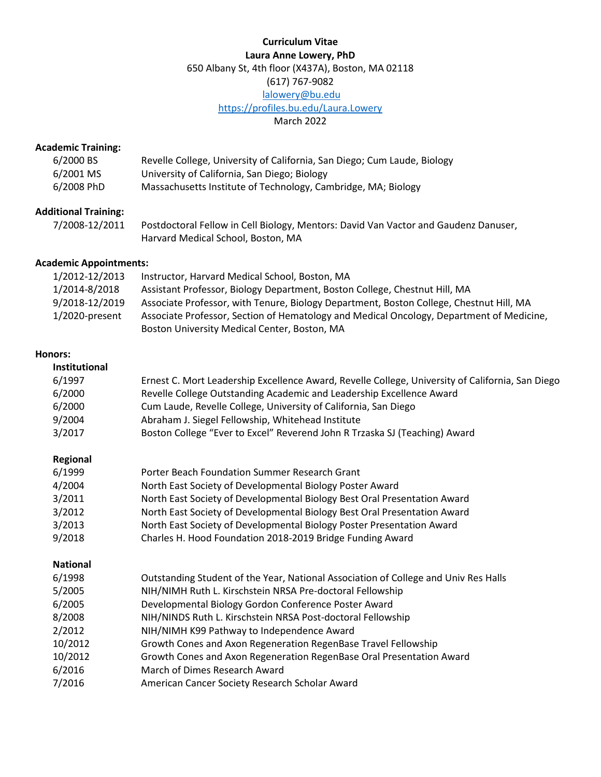## **Curriculum Vitae Laura Anne Lowery, PhD** 650 Albany St, 4th floor (X437A), Boston, MA 02118 (617) 767-9082 [lalowery@bu.edu](mailto:lalowery@bu.edu) <https://profiles.bu.edu/Laura.Lowery> March 2022

### **Academic Training:**

| 6/2000 BS  | Revelle College, University of California, San Diego; Cum Laude, Biology |
|------------|--------------------------------------------------------------------------|
| 6/2001 MS  | University of California, San Diego; Biology                             |
| 6/2008 PhD | Massachusetts Institute of Technology, Cambridge, MA; Biology            |

## **Additional Training:**

7/2008-12/2011 Postdoctoral Fellow in Cell Biology, Mentors: David Van Vactor and Gaudenz Danuser, Harvard Medical School, Boston, MA

## **Academic Appointments:**

| 1/2012-12/2013    | Instructor, Harvard Medical School, Boston, MA                                           |
|-------------------|------------------------------------------------------------------------------------------|
| 1/2014-8/2018     | Assistant Professor, Biology Department, Boston College, Chestnut Hill, MA               |
| 9/2018-12/2019    | Associate Professor, with Tenure, Biology Department, Boston College, Chestnut Hill, MA  |
| $1/2020$ -present | Associate Professor, Section of Hematology and Medical Oncology, Department of Medicine, |
|                   | Boston University Medical Center, Boston, MA                                             |

### **Honors:**

| <b>Institutional</b><br>6/1997<br>6/2000<br>6/2000<br>9/2004                                                | Ernest C. Mort Leadership Excellence Award, Revelle College, University of California, San Diego<br>Revelle College Outstanding Academic and Leadership Excellence Award<br>Cum Laude, Revelle College, University of California, San Diego<br>Abraham J. Siegel Fellowship, Whitehead Institute                                                                                                                                                                                                                                                   |
|-------------------------------------------------------------------------------------------------------------|----------------------------------------------------------------------------------------------------------------------------------------------------------------------------------------------------------------------------------------------------------------------------------------------------------------------------------------------------------------------------------------------------------------------------------------------------------------------------------------------------------------------------------------------------|
| 3/2017                                                                                                      | Boston College "Ever to Excel" Reverend John R Trzaska SJ (Teaching) Award                                                                                                                                                                                                                                                                                                                                                                                                                                                                         |
| Regional<br>6/1999<br>4/2004<br>3/2011<br>3/2012<br>3/2013<br>9/2018                                        | Porter Beach Foundation Summer Research Grant<br>North East Society of Developmental Biology Poster Award<br>North East Society of Developmental Biology Best Oral Presentation Award<br>North East Society of Developmental Biology Best Oral Presentation Award<br>North East Society of Developmental Biology Poster Presentation Award<br>Charles H. Hood Foundation 2018-2019 Bridge Funding Award                                                                                                                                            |
| <b>National</b><br>6/1998<br>5/2005<br>6/2005<br>8/2008<br>2/2012<br>10/2012<br>10/2012<br>6/2016<br>7/2016 | Outstanding Student of the Year, National Association of College and Univ Res Halls<br>NIH/NIMH Ruth L. Kirschstein NRSA Pre-doctoral Fellowship<br>Developmental Biology Gordon Conference Poster Award<br>NIH/NINDS Ruth L. Kirschstein NRSA Post-doctoral Fellowship<br>NIH/NIMH K99 Pathway to Independence Award<br>Growth Cones and Axon Regeneration RegenBase Travel Fellowship<br>Growth Cones and Axon Regeneration RegenBase Oral Presentation Award<br>March of Dimes Research Award<br>American Cancer Society Research Scholar Award |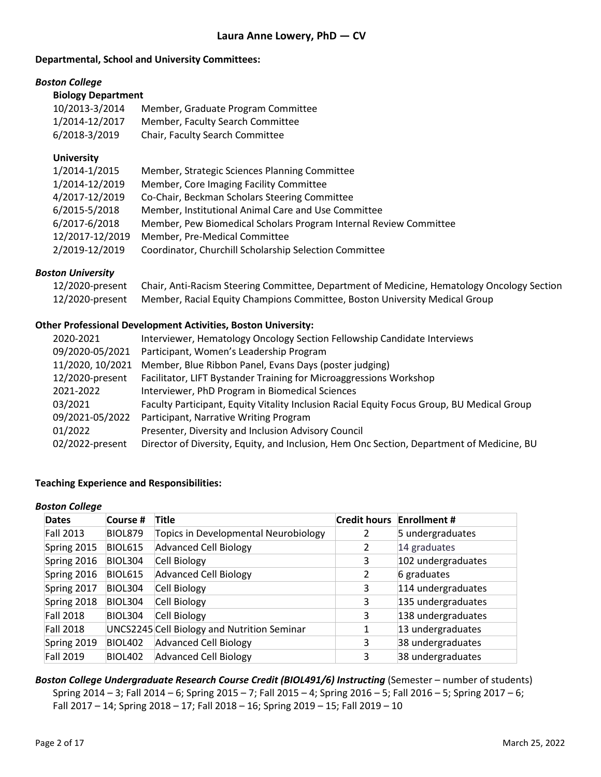### **Departmental, School and University Committees:**

### *Boston College*

| <b>Biology Department</b> |  |  |  |  |  |
|---------------------------|--|--|--|--|--|
|---------------------------|--|--|--|--|--|

| $-0.5 - 0.1 - 0.00$ |                                        |
|---------------------|----------------------------------------|
| 10/2013-3/2014      | Member, Graduate Program Committee     |
| 1/2014-12/2017      | Member, Faculty Search Committee       |
| 6/2018-3/2019       | <b>Chair, Faculty Search Committee</b> |
|                     |                                        |

## **University**

| 1/2014-1/2015   | Member, Strategic Sciences Planning Committee                     |
|-----------------|-------------------------------------------------------------------|
| 1/2014-12/2019  | Member, Core Imaging Facility Committee                           |
| 4/2017-12/2019  | Co-Chair, Beckman Scholars Steering Committee                     |
| 6/2015-5/2018   | Member, Institutional Animal Care and Use Committee               |
| 6/2017-6/2018   | Member, Pew Biomedical Scholars Program Internal Review Committee |
| 12/2017-12/2019 | Member, Pre-Medical Committee                                     |
| 2/2019-12/2019  | Coordinator, Churchill Scholarship Selection Committee            |

## *Boston University*

| 12/2020-present Chair, Anti-Racism Steering Committee, Department of Medicine, Hematology Oncology Section |
|------------------------------------------------------------------------------------------------------------|
| 12/2020-present Member, Racial Equity Champions Committee, Boston University Medical Group                 |

## **Other Professional Development Activities, Boston University:**

| 2020-2021        | Interviewer, Hematology Oncology Section Fellowship Candidate Interviews                   |
|------------------|--------------------------------------------------------------------------------------------|
| 09/2020-05/2021  | Participant, Women's Leadership Program                                                    |
| 11/2020, 10/2021 | Member, Blue Ribbon Panel, Evans Days (poster judging)                                     |
| 12/2020-present  | Facilitator, LIFT Bystander Training for Microaggressions Workshop                         |
| 2021-2022        | Interviewer, PhD Program in Biomedical Sciences                                            |
| 03/2021          | Faculty Participant, Equity Vitality Inclusion Racial Equity Focus Group, BU Medical Group |
| 09/2021-05/2022  | Participant, Narrative Writing Program                                                     |
| 01/2022          | Presenter, Diversity and Inclusion Advisory Council                                        |
| 02/2022-present  | Director of Diversity, Equity, and Inclusion, Hem Onc Section, Department of Medicine, BU  |

## **Teaching Experience and Responsibilities:**

### *Boston College*

| <b>Dates</b>     | Course #       | Title                                       | <b>Credit hours</b> | <b>Enrollment #</b> |
|------------------|----------------|---------------------------------------------|---------------------|---------------------|
| Fall 2013        | BIOL879        | Topics in Developmental Neurobiology        |                     | 5 undergraduates    |
| Spring 2015      | <b>BIOL615</b> | <b>Advanced Cell Biology</b>                | 2                   | 14 graduates        |
| Spring 2016      | BIOL304        | Cell Biology                                | 3                   | 102 undergraduates  |
| Spring 2016      | <b>BIOL615</b> | <b>Advanced Cell Biology</b>                | 2                   | 6 graduates         |
| Spring 2017      | BIOL304        | Cell Biology                                | 3                   | 114 undergraduates  |
| Spring 2018      | BIOL304        | Cell Biology                                | 3                   | 135 undergraduates  |
| Fall 2018        | BIOL304        | Cell Biology                                | 3                   | 138 undergraduates  |
| Fall 2018        |                | UNCS2245 Cell Biology and Nutrition Seminar |                     | 13 undergraduates   |
| Spring 2019      | <b>BIOL402</b> | <b>Advanced Cell Biology</b>                | 3                   | 38 undergraduates   |
| <b>Fall 2019</b> | <b>BIOL402</b> | <b>Advanced Cell Biology</b>                | 3                   | 38 undergraduates   |

*Boston College Undergraduate Research Course Credit (BIOL491/6) Instructing* (Semester – number of students) Spring 2014 – 3; Fall 2014 – 6; Spring 2015 – 7; Fall 2015 – 4; Spring 2016 – 5; Fall 2016 – 5; Spring 2017 – 6; Fall 2017 – 14; Spring 2018 – 17; Fall 2018 – 16; Spring 2019 – 15; Fall 2019 – 10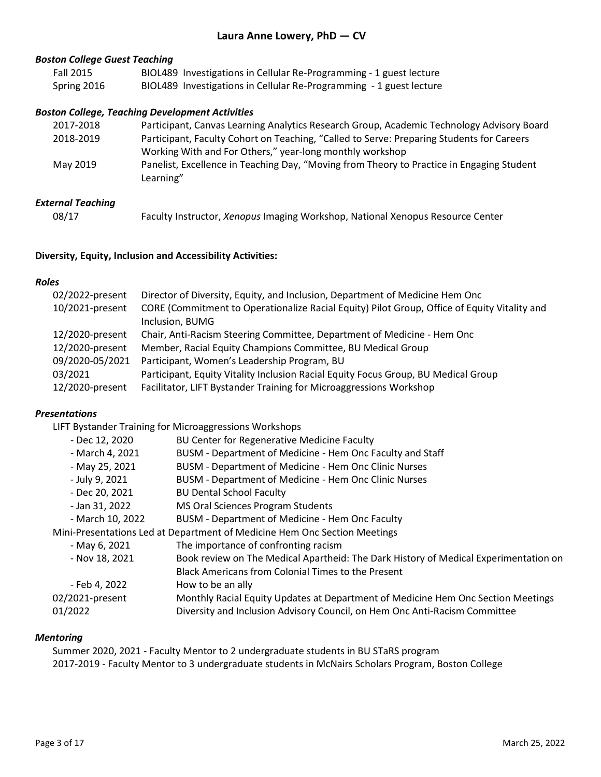### *Boston College Guest Teaching*

| <b>Fall 2015</b> | BIOL489 Investigations in Cellular Re-Programming - 1 guest lecture |
|------------------|---------------------------------------------------------------------|
| Spring 2016      | BIOL489 Investigations in Cellular Re-Programming - 1 guest lecture |

### *Boston College, Teaching Development Activities*

| Participant, Canvas Learning Analytics Research Group, Academic Technology Advisory Board              |
|--------------------------------------------------------------------------------------------------------|
| Participant, Faculty Cohort on Teaching, "Called to Serve: Preparing Students for Careers              |
| Working With and For Others," year-long monthly workshop                                               |
| Panelist, Excellence in Teaching Day, "Moving from Theory to Practice in Engaging Student<br>Learning" |
|                                                                                                        |

### *External Teaching*

| 08/17 | Faculty Instructor, Xenopus Imaging Workshop, National Xenopus Resource Center |
|-------|--------------------------------------------------------------------------------|
|       |                                                                                |

### **Diversity, Equity, Inclusion and Accessibility Activities:**

### *Roles*

| 02/2022-present | Director of Diversity, Equity, and Inclusion, Department of Medicine Hem Onc                 |
|-----------------|----------------------------------------------------------------------------------------------|
| 10/2021-present | CORE (Commitment to Operationalize Racial Equity) Pilot Group, Office of Equity Vitality and |
|                 | Inclusion, BUMG                                                                              |
| 12/2020-present | Chair, Anti-Racism Steering Committee, Department of Medicine - Hem Onc                      |
| 12/2020-present | Member, Racial Equity Champions Committee, BU Medical Group                                  |
| 09/2020-05/2021 | Participant, Women's Leadership Program, BU                                                  |
| 03/2021         | Participant, Equity Vitality Inclusion Racial Equity Focus Group, BU Medical Group           |
| 12/2020-present | Facilitator, LIFT Bystander Training for Microaggressions Workshop                           |

### *Presentations*

LIFT Bystander Training for Microaggressions Workshops

| - Dec 12, 2020   | BU Center for Regenerative Medicine Faculty                                          |
|------------------|--------------------------------------------------------------------------------------|
| - March 4, 2021  | BUSM - Department of Medicine - Hem Onc Faculty and Staff                            |
| - May 25, 2021   | BUSM - Department of Medicine - Hem Onc Clinic Nurses                                |
| - July 9, 2021   | <b>BUSM - Department of Medicine - Hem Onc Clinic Nurses</b>                         |
| - Dec 20, 2021   | <b>BU Dental School Faculty</b>                                                      |
| - Jan 31, 2022   | MS Oral Sciences Program Students                                                    |
| - March 10, 2022 | BUSM - Department of Medicine - Hem Onc Faculty                                      |
|                  | Mini-Presentations Led at Department of Medicine Hem Onc Section Meetings            |
| - May 6, 2021    | The importance of confronting racism                                                 |
| - Nov 18, 2021   | Book review on The Medical Apartheid: The Dark History of Medical Experimentation on |
|                  | Black Americans from Colonial Times to the Present                                   |
| - Feb 4, 2022    | How to be an ally                                                                    |
| 02/2021-present  | Monthly Racial Equity Updates at Department of Medicine Hem Onc Section Meetings     |
| 01/2022          | Diversity and Inclusion Advisory Council, on Hem Onc Anti-Racism Committee           |

#### *Mentoring*

Summer 2020, 2021 - Faculty Mentor to 2 undergraduate students in BU STaRS program 2017-2019 - Faculty Mentor to 3 undergraduate students in McNairs Scholars Program, Boston College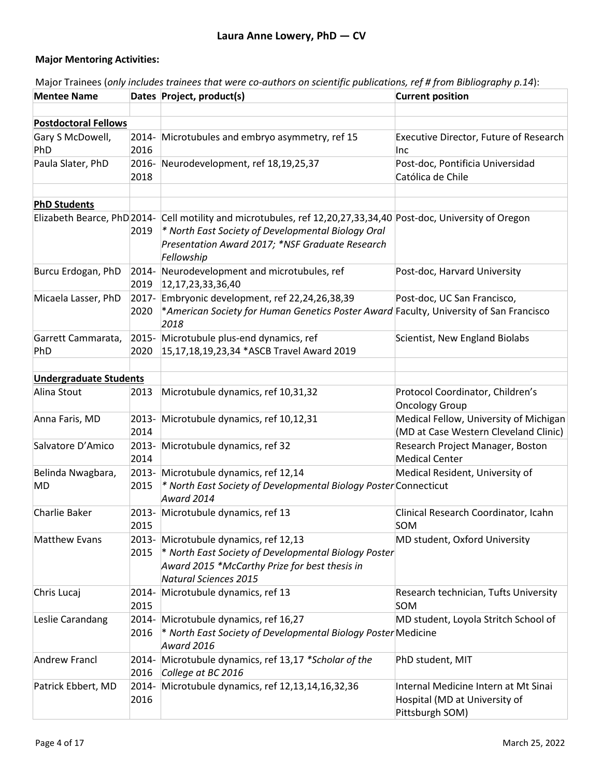## **Major Mentoring Activities:**

| <b>Mentee Name</b>            |                  | Dates Project, product(s)                                                                                                                                                | <b>Current position</b>                                                                  |
|-------------------------------|------------------|--------------------------------------------------------------------------------------------------------------------------------------------------------------------------|------------------------------------------------------------------------------------------|
| <b>Postdoctoral Fellows</b>   |                  |                                                                                                                                                                          |                                                                                          |
| Gary S McDowell,<br>PhD       | 2014-<br>2016    | Microtubules and embryo asymmetry, ref 15                                                                                                                                | Executive Director, Future of Research<br>Inc                                            |
| Paula Slater, PhD             | 2018             | 2016- Neurodevelopment, ref 18,19,25,37                                                                                                                                  | Post-doc, Pontificia Universidad<br>Católica de Chile                                    |
|                               |                  |                                                                                                                                                                          |                                                                                          |
| <b>PhD Students</b>           |                  | Elizabeth Bearce, PhD 2014- Cell motility and microtubules, ref 12,20,27,33,34,40 Post-doc, University of Oregon                                                         |                                                                                          |
|                               | 2019             | * North East Society of Developmental Biology Oral<br>Presentation Award 2017; *NSF Graduate Research<br>Fellowship                                                      |                                                                                          |
| Burcu Erdogan, PhD            | $2014 -$<br>2019 | Neurodevelopment and microtubules, ref<br> 12,17,23,33,36,40                                                                                                             | Post-doc, Harvard University                                                             |
| Micaela Lasser, PhD           | 2017-<br>2020    | Embryonic development, ref 22,24,26,38,39<br>*American Society for Human Genetics Poster Award Faculty, University of San Francisco<br>2018                              | Post-doc, UC San Francisco,                                                              |
| Garrett Cammarata,<br>PhD     | 2020             | 2015- Microtubule plus-end dynamics, ref<br>15,17,18,19,23,34 *ASCB Travel Award 2019                                                                                    | Scientist, New England Biolabs                                                           |
| <b>Undergraduate Students</b> |                  |                                                                                                                                                                          |                                                                                          |
| Alina Stout                   | 2013             | Microtubule dynamics, ref 10,31,32                                                                                                                                       | Protocol Coordinator, Children's<br><b>Oncology Group</b>                                |
| Anna Faris, MD                | 2014             | 2013- Microtubule dynamics, ref 10,12,31                                                                                                                                 | Medical Fellow, University of Michigan<br>(MD at Case Western Cleveland Clinic)          |
| Salvatore D'Amico             | 2013-<br>2014    | Microtubule dynamics, ref 32                                                                                                                                             | Research Project Manager, Boston<br><b>Medical Center</b>                                |
| Belinda Nwagbara,<br>MD       | 2015             | 2013- Microtubule dynamics, ref 12,14<br>* North East Society of Developmental Biology Poster Connecticut<br>Award 2014                                                  | Medical Resident, University of                                                          |
| Charlie Baker                 | 2015             | 2013- Microtubule dynamics, ref 13                                                                                                                                       | Clinical Research Coordinator, Icahn<br>SOM                                              |
| <b>Matthew Evans</b>          | 2013-<br>2015    | Microtubule dynamics, ref 12,13<br>* North East Society of Developmental Biology Poster<br>Award 2015 *McCarthy Prize for best thesis in<br><b>Natural Sciences 2015</b> | MD student, Oxford University                                                            |
| Chris Lucaj                   | 2014-<br>2015    | Microtubule dynamics, ref 13                                                                                                                                             | Research technician, Tufts University<br>SOM                                             |
| Leslie Carandang              | 2014-<br>2016    | Microtubule dynamics, ref 16,27<br>* North East Society of Developmental Biology Poster Medicine<br><b>Award 2016</b>                                                    | MD student, Loyola Stritch School of                                                     |
| <b>Andrew Francl</b>          | 2014-<br>2016    | Microtubule dynamics, ref 13,17 *Scholar of the<br>College at BC 2016                                                                                                    | PhD student, MIT                                                                         |
| Patrick Ebbert, MD            | 2014-<br>2016    | Microtubule dynamics, ref 12,13,14,16,32,36                                                                                                                              | Internal Medicine Intern at Mt Sinai<br>Hospital (MD at University of<br>Pittsburgh SOM) |

Major Trainees (*only includes trainees that were co-authors on scientific publications, ref # from Bibliography p.14*):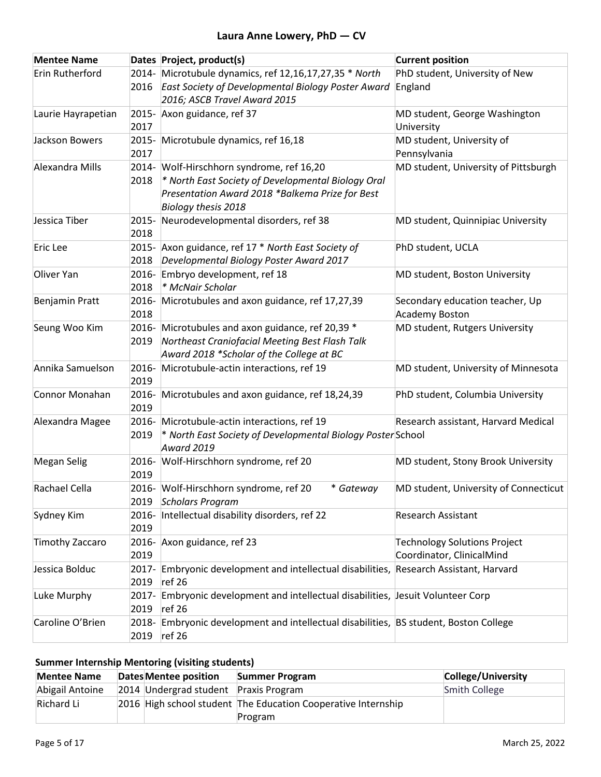| <b>Mentee Name</b> |               | Dates Project, product(s)                                                                           | <b>Current position</b>               |
|--------------------|---------------|-----------------------------------------------------------------------------------------------------|---------------------------------------|
| Erin Rutherford    |               | 2014- Microtubule dynamics, ref 12,16,17,27,35 * North                                              | PhD student, University of New        |
|                    | 2016          | East Society of Developmental Biology Poster Award                                                  | England                               |
|                    |               | 2016; ASCB Travel Award 2015                                                                        |                                       |
| Laurie Hayrapetian |               | 2015- Axon guidance, ref 37                                                                         | MD student, George Washington         |
|                    | 2017          |                                                                                                     | University                            |
| Jackson Bowers     |               | 2015- Microtubule dynamics, ref 16,18                                                               | MD student, University of             |
|                    | 2017          |                                                                                                     | Pennsylvania                          |
| Alexandra Mills    |               | 2014- Wolf-Hirschhorn syndrome, ref 16,20                                                           | MD student, University of Pittsburgh  |
|                    | 2018          | * North East Society of Developmental Biology Oral                                                  |                                       |
|                    |               | Presentation Award 2018 *Balkema Prize for Best                                                     |                                       |
|                    |               | Biology thesis 2018                                                                                 |                                       |
| Jessica Tiber      |               | 2015- Neurodevelopmental disorders, ref 38                                                          | MD student, Quinnipiac University     |
|                    | 2018          |                                                                                                     |                                       |
| Eric Lee           |               | 2015- Axon guidance, ref 17 * North East Society of                                                 | PhD student, UCLA                     |
|                    | 2018          | Developmental Biology Poster Award 2017                                                             |                                       |
| Oliver Yan         | 2016-         | Embryo development, ref 18                                                                          | MD student, Boston University         |
|                    | 2018          | * McNair Scholar                                                                                    |                                       |
| Benjamin Pratt     | 2016-<br>2018 | Microtubules and axon guidance, ref 17,27,39                                                        | Secondary education teacher, Up       |
|                    |               |                                                                                                     | Academy Boston                        |
| Seung Woo Kim      | 2019          | 2016- Microtubules and axon guidance, ref 20,39 *<br>Northeast Craniofacial Meeting Best Flash Talk | MD student, Rutgers University        |
|                    |               | Award 2018 *Scholar of the College at BC                                                            |                                       |
| Annika Samuelson   | 2016-         | Microtubule-actin interactions, ref 19                                                              | MD student, University of Minnesota   |
|                    | 2019          |                                                                                                     |                                       |
| Connor Monahan     | 2016-         | Microtubules and axon guidance, ref 18,24,39                                                        | PhD student, Columbia University      |
|                    | 2019          |                                                                                                     |                                       |
| Alexandra Magee    | 2016-         | Microtubule-actin interactions, ref 19                                                              | Research assistant, Harvard Medical   |
|                    | 2019          | * North East Society of Developmental Biology Poster School                                         |                                       |
|                    |               | <b>Award 2019</b>                                                                                   |                                       |
| <b>Megan Selig</b> | 2016-         | Wolf-Hirschhorn syndrome, ref 20                                                                    | MD student, Stony Brook University    |
|                    | 2019          |                                                                                                     |                                       |
| Rachael Cella      |               | 2016- Wolf-Hirschhorn syndrome, ref 20<br>* Gateway                                                 | MD student, University of Connecticut |
|                    | 2019          | <b>Scholars Program</b>                                                                             |                                       |
| Sydney Kim         | 2016-         | Intellectual disability disorders, ref 22                                                           | <b>Research Assistant</b>             |
|                    | 2019          |                                                                                                     |                                       |
| Timothy Zaccaro    | 2016-         | Axon guidance, ref 23                                                                               | <b>Technology Solutions Project</b>   |
|                    | 2019          |                                                                                                     | Coordinator, ClinicalMind             |
| Jessica Bolduc     |               | 2017- Embryonic development and intellectual disabilities, Research Assistant, Harvard              |                                       |
|                    | 2019          | ref 26                                                                                              |                                       |
| Luke Murphy        | 2017-         | Embryonic development and intellectual disabilities, Jesuit Volunteer Corp                          |                                       |
|                    | 2019          | ref 26                                                                                              |                                       |
| Caroline O'Brien   | 2018-         | Embryonic development and intellectual disabilities, BS student, Boston College                     |                                       |
|                    | 2019          | ref 26                                                                                              |                                       |

# **Summer Internship Mentoring (visiting students)**

| <b>Mentee Name</b> | Dates Mentee position                 | Summer Program                                                | College/University |
|--------------------|---------------------------------------|---------------------------------------------------------------|--------------------|
| Abigail Antoine    | 2014 Undergrad student Praxis Program |                                                               | Smith College      |
| Richard Li         |                                       | 2016 High school student The Education Cooperative Internship |                    |
|                    |                                       | Program                                                       |                    |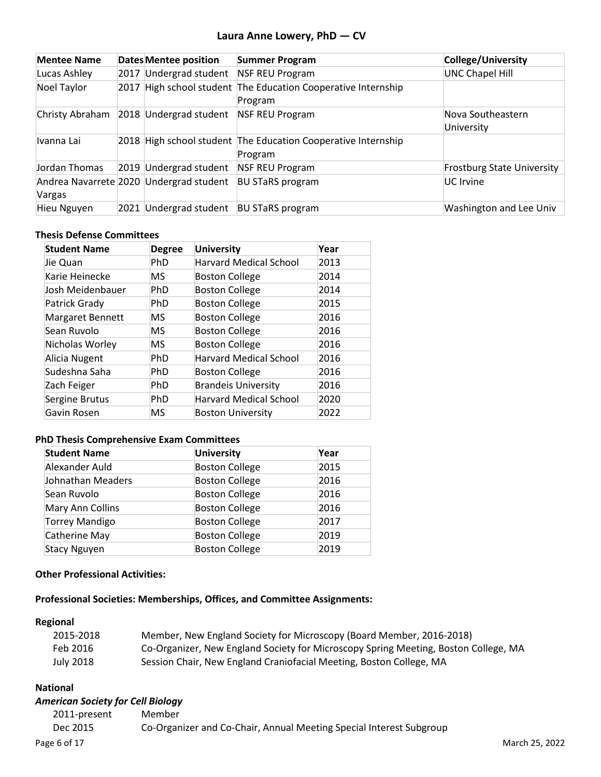| <b>Mentee Name</b> |      | <b>Dates Mentee position</b>            | <b>Summer Program</b>                                                    | College/University                |
|--------------------|------|-----------------------------------------|--------------------------------------------------------------------------|-----------------------------------|
| Lucas Ashley       | 2017 | Undergrad student                       | <b>NSF REU Program</b>                                                   | <b>UNC Chapel Hill</b>            |
| Noel Taylor        |      |                                         | 2017 High school student The Education Cooperative Internship<br>Program |                                   |
| Christy Abraham    |      | 2018 Undergrad student                  | <b>NSF REU Program</b>                                                   | Nova Southeastern<br>University   |
| Ivanna Lai         |      |                                         | 2018 High school student The Education Cooperative Internship<br>Program |                                   |
| Jordan Thomas      |      | 2019 Undergrad student                  | <b>NSF REU Program</b>                                                   | <b>Frostburg State University</b> |
| Vargas             |      | Andrea Navarrete 2020 Undergrad student | <b>BU STaRS program</b>                                                  | UC Irvine                         |
| Hieu Nguyen        | 2021 | Undergrad student                       | <b>BU STaRS program</b>                                                  | <b>Washington and Lee Univ</b>    |

## **Thesis Defense Committees**

| <b>Student Name</b> | <b>Degree</b> | <b>University</b>             | Year |
|---------------------|---------------|-------------------------------|------|
| Jie Quan            | <b>PhD</b>    | <b>Harvard Medical School</b> | 2013 |
| Karie Heinecke      | MS            | <b>Boston College</b>         | 2014 |
| Josh Meidenbauer    | <b>PhD</b>    | <b>Boston College</b>         | 2014 |
| Patrick Grady       | <b>PhD</b>    | <b>Boston College</b>         | 2015 |
| Margaret Bennett    | MS            | <b>Boston College</b>         | 2016 |
| Sean Ruvolo         | MS            | <b>Boston College</b>         | 2016 |
| Nicholas Worley     | MS            | <b>Boston College</b>         | 2016 |
| Alicia Nugent       | <b>PhD</b>    | <b>Harvard Medical School</b> | 2016 |
| Sudeshna Saha       | <b>PhD</b>    | <b>Boston College</b>         | 2016 |
| Zach Feiger         | <b>PhD</b>    | <b>Brandeis University</b>    | 2016 |
| Sergine Brutus      | PhD           | <b>Harvard Medical School</b> | 2020 |
| Gavin Rosen         | MS            | <b>Boston University</b>      | 2022 |

## **PhD Thesis Comprehensive Exam Committees**

| <b>Student Name</b>   | <b>University</b>     | Year |
|-----------------------|-----------------------|------|
| Alexander Auld        | <b>Boston College</b> | 2015 |
| Johnathan Meaders     | <b>Boston College</b> | 2016 |
| Sean Ruvolo           | <b>Boston College</b> | 2016 |
| Mary Ann Collins      | <b>Boston College</b> | 2016 |
| <b>Torrey Mandigo</b> | <b>Boston College</b> | 2017 |
| Catherine May         | <b>Boston College</b> | 2019 |
| Stacy Nguyen          | <b>Boston College</b> | 2019 |

## **Other Professional Activities:**

## **Professional Societies: Memberships, Offices, and Committee Assignments:**

## **Regional**

| 2015-2018 | Member, New England Society for Microscopy (Board Member, 2016-2018)                |
|-----------|-------------------------------------------------------------------------------------|
| Feb 2016  | Co-Organizer, New England Society for Microscopy Spring Meeting, Boston College, MA |
| July 2018 | Session Chair, New England Craniofacial Meeting, Boston College, MA                 |

## **National**

## *American Society for Cell Biology*

| 2011-present | Member                                                              |                |
|--------------|---------------------------------------------------------------------|----------------|
| Dec 2015     | Co-Organizer and Co-Chair, Annual Meeting Special Interest Subgroup |                |
| Page 6 of 17 |                                                                     | March 25, 2022 |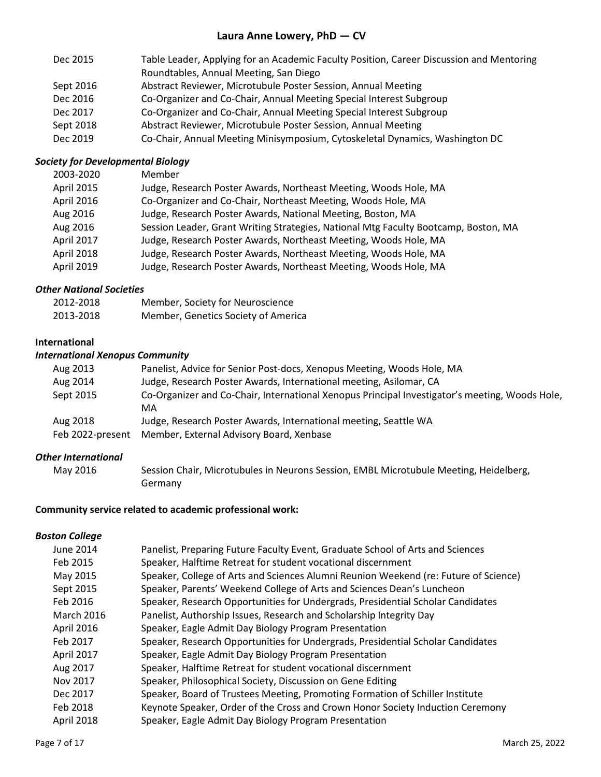| Dec 2015  | Table Leader, Applying for an Academic Faculty Position, Career Discussion and Mentoring |
|-----------|------------------------------------------------------------------------------------------|
|           | Roundtables, Annual Meeting, San Diego                                                   |
| Sept 2016 | Abstract Reviewer, Microtubule Poster Session, Annual Meeting                            |
| Dec 2016  | Co-Organizer and Co-Chair, Annual Meeting Special Interest Subgroup                      |
| Dec 2017  | Co-Organizer and Co-Chair, Annual Meeting Special Interest Subgroup                      |
| Sept 2018 | Abstract Reviewer, Microtubule Poster Session, Annual Meeting                            |
| Dec 2019  | Co-Chair, Annual Meeting Minisymposium, Cytoskeletal Dynamics, Washington DC             |

## *Society for Developmental Biology*

| 2003-2020  | Member                                                                              |
|------------|-------------------------------------------------------------------------------------|
| April 2015 | Judge, Research Poster Awards, Northeast Meeting, Woods Hole, MA                    |
| April 2016 | Co-Organizer and Co-Chair, Northeast Meeting, Woods Hole, MA                        |
| Aug 2016   | Judge, Research Poster Awards, National Meeting, Boston, MA                         |
| Aug 2016   | Session Leader, Grant Writing Strategies, National Mtg Faculty Bootcamp, Boston, MA |
| April 2017 | Judge, Research Poster Awards, Northeast Meeting, Woods Hole, MA                    |
| April 2018 | Judge, Research Poster Awards, Northeast Meeting, Woods Hole, MA                    |
| April 2019 | Judge, Research Poster Awards, Northeast Meeting, Woods Hole, MA                    |

## *Other National Societies*

| 2012-2018 | Member, Society for Neuroscience    |
|-----------|-------------------------------------|
| 2013-2018 | Member, Genetics Society of America |

### **International**

### *International Xenopus Community*

| Aug 2013         | Panelist, Advice for Senior Post-docs, Xenopus Meeting, Woods Hole, MA                               |
|------------------|------------------------------------------------------------------------------------------------------|
| Aug 2014         | Judge, Research Poster Awards, International meeting, Asilomar, CA                                   |
| Sept 2015        | Co-Organizer and Co-Chair, International Xenopus Principal Investigator's meeting, Woods Hole,<br>MA |
| Aug 2018         | Judge, Research Poster Awards, International meeting, Seattle WA                                     |
| Feb 2022-present | Member, External Advisory Board, Xenbase                                                             |

#### *Other International*

| May 2016 | Session Chair, Microtubules in Neurons Session, EMBL Microtubule Meeting, Heidelberg, |
|----------|---------------------------------------------------------------------------------------|
|          | Germany                                                                               |

## **Community service related to academic professional work:**

## *Boston College*

| June 2014         | Panelist, Preparing Future Faculty Event, Graduate School of Arts and Sciences       |
|-------------------|--------------------------------------------------------------------------------------|
| Feb 2015          | Speaker, Halftime Retreat for student vocational discernment                         |
| May 2015          | Speaker, College of Arts and Sciences Alumni Reunion Weekend (re: Future of Science) |
| Sept 2015         | Speaker, Parents' Weekend College of Arts and Sciences Dean's Luncheon               |
| Feb 2016          | Speaker, Research Opportunities for Undergrads, Presidential Scholar Candidates      |
| <b>March 2016</b> | Panelist, Authorship Issues, Research and Scholarship Integrity Day                  |
| April 2016        | Speaker, Eagle Admit Day Biology Program Presentation                                |
| Feb 2017          | Speaker, Research Opportunities for Undergrads, Presidential Scholar Candidates      |
| April 2017        | Speaker, Eagle Admit Day Biology Program Presentation                                |
| Aug 2017          | Speaker, Halftime Retreat for student vocational discernment                         |
| Nov 2017          | Speaker, Philosophical Society, Discussion on Gene Editing                           |
| Dec 2017          | Speaker, Board of Trustees Meeting, Promoting Formation of Schiller Institute        |
| Feb 2018          | Keynote Speaker, Order of the Cross and Crown Honor Society Induction Ceremony       |
| April 2018        | Speaker, Eagle Admit Day Biology Program Presentation                                |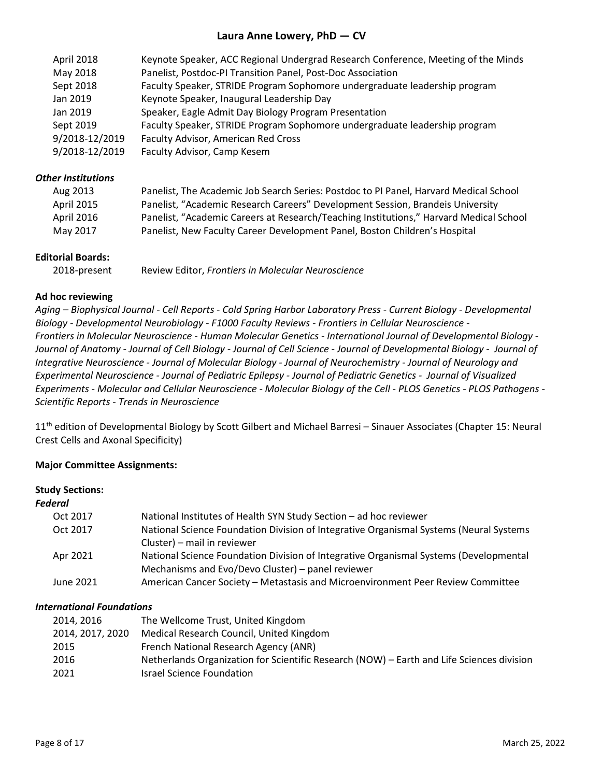| April 2018     | Keynote Speaker, ACC Regional Undergrad Research Conference, Meeting of the Minds |
|----------------|-----------------------------------------------------------------------------------|
| May 2018       | Panelist, Postdoc-PI Transition Panel, Post-Doc Association                       |
| Sept 2018      | Faculty Speaker, STRIDE Program Sophomore undergraduate leadership program        |
| Jan 2019       | Keynote Speaker, Inaugural Leadership Day                                         |
| Jan 2019       | Speaker, Eagle Admit Day Biology Program Presentation                             |
| Sept 2019      | Faculty Speaker, STRIDE Program Sophomore undergraduate leadership program        |
| 9/2018-12/2019 | Faculty Advisor, American Red Cross                                               |
| 9/2018-12/2019 | Faculty Advisor, Camp Kesem                                                       |
|                |                                                                                   |

### *Other Institutions*

| Aug 2013          | Panelist, The Academic Job Search Series: Postdoc to PI Panel, Harvard Medical School  |
|-------------------|----------------------------------------------------------------------------------------|
| <b>April 2015</b> | Panelist, "Academic Research Careers" Development Session, Brandeis University         |
| April 2016        | Panelist, "Academic Careers at Research/Teaching Institutions," Harvard Medical School |
| May 2017          | Panelist, New Faculty Career Development Panel, Boston Children's Hospital             |

### **Editorial Boards:**

| 2018-present | Review Editor, Frontiers in Molecular Neuroscience |  |  |
|--------------|----------------------------------------------------|--|--|
|              |                                                    |  |  |

### **Ad hoc reviewing**

*Aging – Biophysical Journal - Cell Reports - Cold Spring Harbor Laboratory Press - Current Biology - Developmental Biology - Developmental Neurobiology - F1000 Faculty Reviews - Frontiers in Cellular Neuroscience - Frontiers in Molecular Neuroscience - Human Molecular Genetics - International Journal of Developmental Biology - Journal of Anatomy - Journal of Cell Biology - Journal of Cell Science - Journal of Developmental Biology - Journal of Integrative Neuroscience - Journal of Molecular Biology - Journal of Neurochemistry - Journal of Neurology and Experimental Neuroscience - Journal of Pediatric Epilepsy - Journal of Pediatric Genetics - Journal of Visualized Experiments - Molecular and Cellular Neuroscience - Molecular Biology of the Cell - PLOS Genetics - PLOS Pathogens - Scientific Reports - Trends in Neuroscience*

11<sup>th</sup> edition of Developmental Biology by Scott Gilbert and Michael Barresi – Sinauer Associates (Chapter 15: Neural Crest Cells and Axonal Specificity)

### **Major Committee Assignments:**

#### **Study Sections:**

#### *Federal*

| Oct 2017  | National Institutes of Health SYN Study Section - ad hoc reviewer                      |
|-----------|----------------------------------------------------------------------------------------|
| Oct 2017  | National Science Foundation Division of Integrative Organismal Systems (Neural Systems |
|           | Cluster) - mail in reviewer                                                            |
| Apr 2021  | National Science Foundation Division of Integrative Organismal Systems (Developmental  |
|           | Mechanisms and Evo/Devo Cluster) – panel reviewer                                      |
| June 2021 | American Cancer Society - Metastasis and Microenvironment Peer Review Committee        |

#### *International Foundations*

| 2014, 2016       | The Wellcome Trust, United Kingdom                                                        |
|------------------|-------------------------------------------------------------------------------------------|
| 2014, 2017, 2020 | Medical Research Council, United Kingdom                                                  |
| 2015             | French National Research Agency (ANR)                                                     |
| 2016             | Netherlands Organization for Scientific Research (NOW) - Earth and Life Sciences division |
| 2021             | <b>Israel Science Foundation</b>                                                          |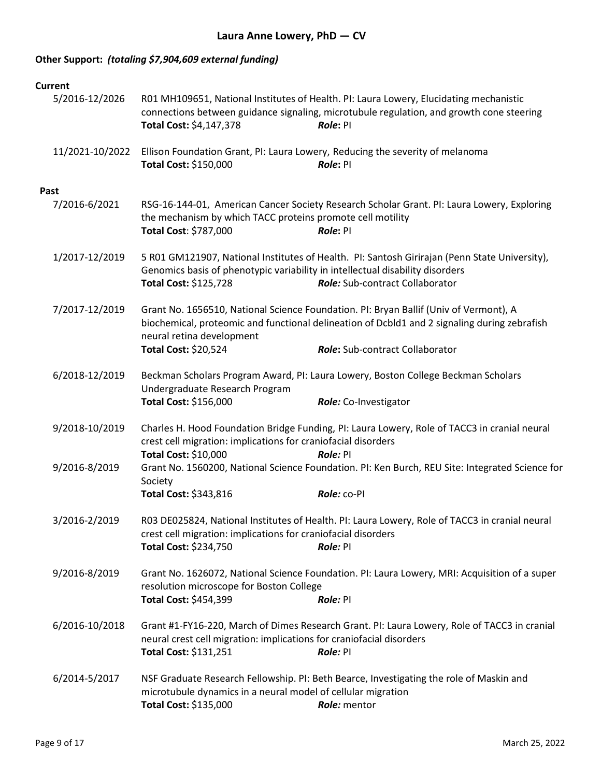# **Other Support:** *(totaling \$7,904,609 external funding)*

| Current         |                                                                                                        |                                                                                                                                                                                                                          |
|-----------------|--------------------------------------------------------------------------------------------------------|--------------------------------------------------------------------------------------------------------------------------------------------------------------------------------------------------------------------------|
| 5/2016-12/2026  | Total Cost: \$4,147,378                                                                                | R01 MH109651, National Institutes of Health. PI: Laura Lowery, Elucidating mechanistic<br>connections between guidance signaling, microtubule regulation, and growth cone steering<br>Role: PI                           |
| 11/2021-10/2022 | Total Cost: \$150,000                                                                                  | Ellison Foundation Grant, PI: Laura Lowery, Reducing the severity of melanoma<br>Role: PI                                                                                                                                |
| Past            |                                                                                                        |                                                                                                                                                                                                                          |
| 7/2016-6/2021   | the mechanism by which TACC proteins promote cell motility<br>Total Cost: \$787,000                    | RSG-16-144-01, American Cancer Society Research Scholar Grant. PI: Laura Lowery, Exploring<br>Role: PI                                                                                                                   |
| 1/2017-12/2019  | Genomics basis of phenotypic variability in intellectual disability disorders<br>Total Cost: \$125,728 | 5 R01 GM121907, National Institutes of Health. PI: Santosh Girirajan (Penn State University),<br><b>Role:</b> Sub-contract Collaborator                                                                                  |
| 7/2017-12/2019  | neural retina development<br>Total Cost: \$20,524                                                      | Grant No. 1656510, National Science Foundation. PI: Bryan Ballif (Univ of Vermont), A<br>biochemical, proteomic and functional delineation of Dcbld1 and 2 signaling during zebrafish<br>Role: Sub-contract Collaborator |
|                 |                                                                                                        |                                                                                                                                                                                                                          |
| 6/2018-12/2019  | Undergraduate Research Program                                                                         | Beckman Scholars Program Award, PI: Laura Lowery, Boston College Beckman Scholars                                                                                                                                        |
|                 | Total Cost: \$156,000                                                                                  | Role: Co-Investigator                                                                                                                                                                                                    |
| 9/2018-10/2019  | crest cell migration: implications for craniofacial disorders                                          | Charles H. Hood Foundation Bridge Funding, PI: Laura Lowery, Role of TACC3 in cranial neural                                                                                                                             |
|                 | Total Cost: \$10,000                                                                                   | Role: PI                                                                                                                                                                                                                 |
| 9/2016-8/2019   | Society                                                                                                | Grant No. 1560200, National Science Foundation. PI: Ken Burch, REU Site: Integrated Science for                                                                                                                          |
|                 | Total Cost: \$343,816                                                                                  | Role: CO-PI                                                                                                                                                                                                              |
| 3/2016-2/2019   | crest cell migration: implications for craniofacial disorders                                          | R03 DE025824, National Institutes of Health. PI: Laura Lowery, Role of TACC3 in cranial neural                                                                                                                           |
|                 | Total Cost: \$234,750                                                                                  | Role: PI                                                                                                                                                                                                                 |
| 9/2016-8/2019   | resolution microscope for Boston College                                                               | Grant No. 1626072, National Science Foundation. PI: Laura Lowery, MRI: Acquisition of a super                                                                                                                            |
|                 | Total Cost: \$454,399                                                                                  | Role: PI                                                                                                                                                                                                                 |
| 6/2016-10/2018  | neural crest cell migration: implications for craniofacial disorders<br>Total Cost: \$131,251          | Grant #1-FY16-220, March of Dimes Research Grant. PI: Laura Lowery, Role of TACC3 in cranial<br>Role: PI                                                                                                                 |
| 6/2014-5/2017   | microtubule dynamics in a neural model of cellular migration<br>Total Cost: \$135,000                  | NSF Graduate Research Fellowship. PI: Beth Bearce, Investigating the role of Maskin and<br>Role: mentor                                                                                                                  |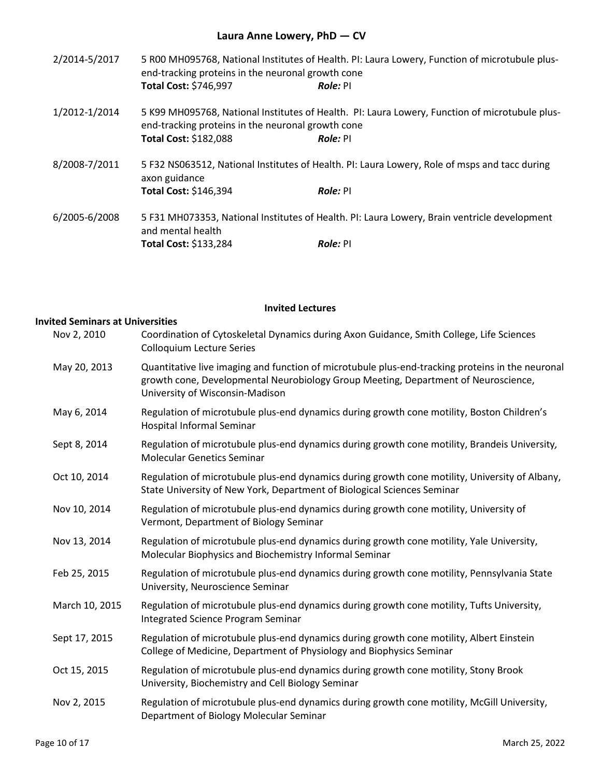| 2/2014-5/2017 | end-tracking proteins in the neuronal growth cone<br>Total Cost: \$746,997 | 5 R00 MH095768, National Institutes of Health. PI: Laura Lowery, Function of microtubule plus-<br>Role: PI        |
|---------------|----------------------------------------------------------------------------|-------------------------------------------------------------------------------------------------------------------|
| 1/2012-1/2014 | end-tracking proteins in the neuronal growth cone<br>Total Cost: \$182,088 | 5 K99 MH095768, National Institutes of Health. PI: Laura Lowery, Function of microtubule plus-<br><b>Role:</b> PI |
| 8/2008-7/2011 | axon guidance<br>Total Cost: \$146,394                                     | 5 F32 NS063512, National Institutes of Health. PI: Laura Lowery, Role of msps and tacc during<br>Role: PI         |
| 6/2005-6/2008 | and mental health<br><b>Total Cost: \$133,284</b>                          | 5 F31 MH073353, National Institutes of Health. PI: Laura Lowery, Brain ventricle development<br>Role: PI          |

## **Invited Lectures**

## **Invited Seminars at Universities**

| Nov 2, 2010    | Coordination of Cytoskeletal Dynamics during Axon Guidance, Smith College, Life Sciences<br><b>Colloquium Lecture Series</b>                                                                                              |
|----------------|---------------------------------------------------------------------------------------------------------------------------------------------------------------------------------------------------------------------------|
| May 20, 2013   | Quantitative live imaging and function of microtubule plus-end-tracking proteins in the neuronal<br>growth cone, Developmental Neurobiology Group Meeting, Department of Neuroscience,<br>University of Wisconsin-Madison |
| May 6, 2014    | Regulation of microtubule plus-end dynamics during growth cone motility, Boston Children's<br>Hospital Informal Seminar                                                                                                   |
| Sept 8, 2014   | Regulation of microtubule plus-end dynamics during growth cone motility, Brandeis University,<br><b>Molecular Genetics Seminar</b>                                                                                        |
| Oct 10, 2014   | Regulation of microtubule plus-end dynamics during growth cone motility, University of Albany,<br>State University of New York, Department of Biological Sciences Seminar                                                 |
| Nov 10, 2014   | Regulation of microtubule plus-end dynamics during growth cone motility, University of<br>Vermont, Department of Biology Seminar                                                                                          |
| Nov 13, 2014   | Regulation of microtubule plus-end dynamics during growth cone motility, Yale University,<br>Molecular Biophysics and Biochemistry Informal Seminar                                                                       |
| Feb 25, 2015   | Regulation of microtubule plus-end dynamics during growth cone motility, Pennsylvania State<br>University, Neuroscience Seminar                                                                                           |
| March 10, 2015 | Regulation of microtubule plus-end dynamics during growth cone motility, Tufts University,<br>Integrated Science Program Seminar                                                                                          |
| Sept 17, 2015  | Regulation of microtubule plus-end dynamics during growth cone motility, Albert Einstein<br>College of Medicine, Department of Physiology and Biophysics Seminar                                                          |
| Oct 15, 2015   | Regulation of microtubule plus-end dynamics during growth cone motility, Stony Brook<br>University, Biochemistry and Cell Biology Seminar                                                                                 |
| Nov 2, 2015    | Regulation of microtubule plus-end dynamics during growth cone motility, McGill University,<br>Department of Biology Molecular Seminar                                                                                    |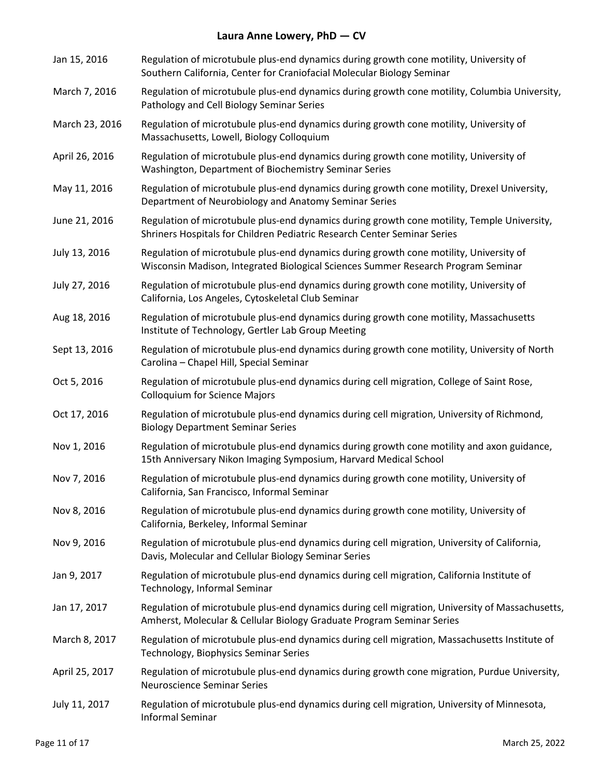| Jan 15, 2016   | Regulation of microtubule plus-end dynamics during growth cone motility, University of<br>Southern California, Center for Craniofacial Molecular Biology Seminar            |
|----------------|-----------------------------------------------------------------------------------------------------------------------------------------------------------------------------|
| March 7, 2016  | Regulation of microtubule plus-end dynamics during growth cone motility, Columbia University,<br>Pathology and Cell Biology Seminar Series                                  |
| March 23, 2016 | Regulation of microtubule plus-end dynamics during growth cone motility, University of<br>Massachusetts, Lowell, Biology Colloquium                                         |
| April 26, 2016 | Regulation of microtubule plus-end dynamics during growth cone motility, University of<br>Washington, Department of Biochemistry Seminar Series                             |
| May 11, 2016   | Regulation of microtubule plus-end dynamics during growth cone motility, Drexel University,<br>Department of Neurobiology and Anatomy Seminar Series                        |
| June 21, 2016  | Regulation of microtubule plus-end dynamics during growth cone motility, Temple University,<br>Shriners Hospitals for Children Pediatric Research Center Seminar Series     |
| July 13, 2016  | Regulation of microtubule plus-end dynamics during growth cone motility, University of<br>Wisconsin Madison, Integrated Biological Sciences Summer Research Program Seminar |
| July 27, 2016  | Regulation of microtubule plus-end dynamics during growth cone motility, University of<br>California, Los Angeles, Cytoskeletal Club Seminar                                |
| Aug 18, 2016   | Regulation of microtubule plus-end dynamics during growth cone motility, Massachusetts<br>Institute of Technology, Gertler Lab Group Meeting                                |
| Sept 13, 2016  | Regulation of microtubule plus-end dynamics during growth cone motility, University of North<br>Carolina - Chapel Hill, Special Seminar                                     |
| Oct 5, 2016    | Regulation of microtubule plus-end dynamics during cell migration, College of Saint Rose,<br><b>Colloquium for Science Majors</b>                                           |
| Oct 17, 2016   | Regulation of microtubule plus-end dynamics during cell migration, University of Richmond,<br><b>Biology Department Seminar Series</b>                                      |
| Nov 1, 2016    | Regulation of microtubule plus-end dynamics during growth cone motility and axon guidance,<br>15th Anniversary Nikon Imaging Symposium, Harvard Medical School              |
| Nov 7, 2016    | Regulation of microtubule plus-end dynamics during growth cone motility, University of<br>California, San Francisco, Informal Seminar                                       |
| Nov 8, 2016    | Regulation of microtubule plus-end dynamics during growth cone motility, University of<br>California, Berkeley, Informal Seminar                                            |
| Nov 9, 2016    | Regulation of microtubule plus-end dynamics during cell migration, University of California,<br>Davis, Molecular and Cellular Biology Seminar Series                        |
| Jan 9, 2017    | Regulation of microtubule plus-end dynamics during cell migration, California Institute of<br>Technology, Informal Seminar                                                  |
| Jan 17, 2017   | Regulation of microtubule plus-end dynamics during cell migration, University of Massachusetts,<br>Amherst, Molecular & Cellular Biology Graduate Program Seminar Series    |
| March 8, 2017  | Regulation of microtubule plus-end dynamics during cell migration, Massachusetts Institute of<br>Technology, Biophysics Seminar Series                                      |
| April 25, 2017 | Regulation of microtubule plus-end dynamics during growth cone migration, Purdue University,<br><b>Neuroscience Seminar Series</b>                                          |
| July 11, 2017  | Regulation of microtubule plus-end dynamics during cell migration, University of Minnesota,<br><b>Informal Seminar</b>                                                      |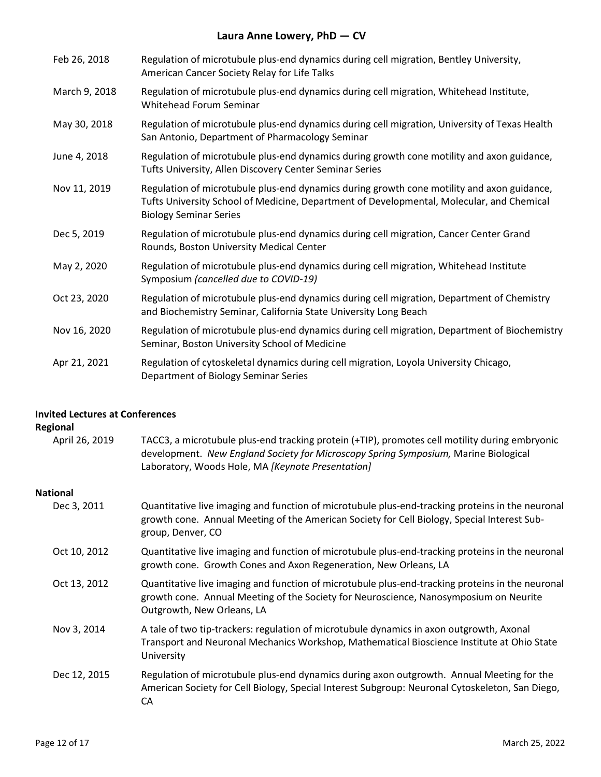| Feb 26, 2018  | Regulation of microtubule plus-end dynamics during cell migration, Bentley University,<br>American Cancer Society Relay for Life Talks                                                                                   |
|---------------|--------------------------------------------------------------------------------------------------------------------------------------------------------------------------------------------------------------------------|
| March 9, 2018 | Regulation of microtubule plus-end dynamics during cell migration, Whitehead Institute,<br>Whitehead Forum Seminar                                                                                                       |
| May 30, 2018  | Regulation of microtubule plus-end dynamics during cell migration, University of Texas Health<br>San Antonio, Department of Pharmacology Seminar                                                                         |
| June 4, 2018  | Regulation of microtubule plus-end dynamics during growth cone motility and axon guidance,<br>Tufts University, Allen Discovery Center Seminar Series                                                                    |
| Nov 11, 2019  | Regulation of microtubule plus-end dynamics during growth cone motility and axon guidance,<br>Tufts University School of Medicine, Department of Developmental, Molecular, and Chemical<br><b>Biology Seminar Series</b> |
| Dec 5, 2019   | Regulation of microtubule plus-end dynamics during cell migration, Cancer Center Grand<br>Rounds, Boston University Medical Center                                                                                       |
| May 2, 2020   | Regulation of microtubule plus-end dynamics during cell migration, Whitehead Institute<br>Symposium (cancelled due to COVID-19)                                                                                          |
| Oct 23, 2020  | Regulation of microtubule plus-end dynamics during cell migration, Department of Chemistry<br>and Biochemistry Seminar, California State University Long Beach                                                           |
| Nov 16, 2020  | Regulation of microtubule plus-end dynamics during cell migration, Department of Biochemistry<br>Seminar, Boston University School of Medicine                                                                           |
| Apr 21, 2021  | Regulation of cytoskeletal dynamics during cell migration, Loyola University Chicago,<br>Department of Biology Seminar Series                                                                                            |

## **Invited Lectures at Conferences**

## **Regional**

| April 26, 2019  | TACC3, a microtubule plus-end tracking protein (+TIP), promotes cell motility during embryonic<br>development. New England Society for Microscopy Spring Symposium, Marine Biological<br>Laboratory, Woods Hole, MA [Keynote Presentation] |
|-----------------|--------------------------------------------------------------------------------------------------------------------------------------------------------------------------------------------------------------------------------------------|
| <b>National</b> |                                                                                                                                                                                                                                            |
| Dec 3, 2011     | Quantitative live imaging and function of microtubule plus-end-tracking proteins in the neuronal<br>growth cone. Annual Meeting of the American Society for Cell Biology, Special Interest Sub-<br>group, Denver, CO                       |
| Oct 10, 2012    | Quantitative live imaging and function of microtubule plus-end-tracking proteins in the neuronal<br>growth cone. Growth Cones and Axon Regeneration, New Orleans, LA                                                                       |
| Oct 13, 2012    | Quantitative live imaging and function of microtubule plus-end-tracking proteins in the neuronal<br>growth cone. Annual Meeting of the Society for Neuroscience, Nanosymposium on Neurite<br>Outgrowth, New Orleans, LA                    |
| Nov 3, 2014     | A tale of two tip-trackers: regulation of microtubule dynamics in axon outgrowth, Axonal<br>Transport and Neuronal Mechanics Workshop, Mathematical Bioscience Institute at Ohio State<br>University                                       |
| Dec 12, 2015    | Regulation of microtubule plus-end dynamics during axon outgrowth. Annual Meeting for the<br>American Society for Cell Biology, Special Interest Subgroup: Neuronal Cytoskeleton, San Diego,<br>СA                                         |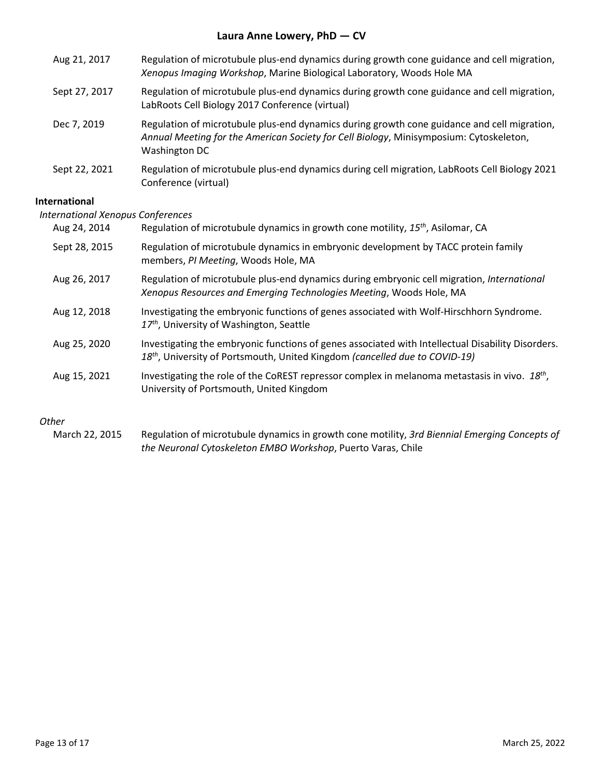| Aug 21, 2017                                              | Regulation of microtubule plus-end dynamics during growth cone guidance and cell migration,<br>Xenopus Imaging Workshop, Marine Biological Laboratory, Woods Hole MA                                   |  |
|-----------------------------------------------------------|--------------------------------------------------------------------------------------------------------------------------------------------------------------------------------------------------------|--|
| Sept 27, 2017                                             | Regulation of microtubule plus-end dynamics during growth cone guidance and cell migration,<br>LabRoots Cell Biology 2017 Conference (virtual)                                                         |  |
| Dec 7, 2019                                               | Regulation of microtubule plus-end dynamics during growth cone guidance and cell migration,<br>Annual Meeting for the American Society for Cell Biology, Minisymposium: Cytoskeleton,<br>Washington DC |  |
| Sept 22, 2021                                             | Regulation of microtubule plus-end dynamics during cell migration, LabRoots Cell Biology 2021<br>Conference (virtual)                                                                                  |  |
| <b>International</b><br>International Xenopus Conferences |                                                                                                                                                                                                        |  |

| Aug 24, 2014  | Regulation of microtubule dynamics in growth cone motility, 15 <sup>th</sup> , Asilomar, CA                                                                                                  |
|---------------|----------------------------------------------------------------------------------------------------------------------------------------------------------------------------------------------|
| Sept 28, 2015 | Regulation of microtubule dynamics in embryonic development by TACC protein family<br>members, PI Meeting, Woods Hole, MA                                                                    |
| Aug 26, 2017  | Regulation of microtubule plus-end dynamics during embryonic cell migration, International<br>Xenopus Resources and Emerging Technologies Meeting, Woods Hole, MA                            |
| Aug 12, 2018  | Investigating the embryonic functions of genes associated with Wolf-Hirschhorn Syndrome.<br>17 <sup>th</sup> , University of Washington, Seattle                                             |
| Aug 25, 2020  | Investigating the embryonic functions of genes associated with Intellectual Disability Disorders.<br>18 <sup>th</sup> , University of Portsmouth, United Kingdom (cancelled due to COVID-19) |
| Aug 15, 2021  | Investigating the role of the CoREST repressor complex in melanoma metastasis in vivo. 18th,<br>University of Portsmouth, United Kingdom                                                     |
|               |                                                                                                                                                                                              |

### *Other*

March 22, 2015 Regulation of microtubule dynamics in growth cone motility, *3rd Biennial Emerging Concepts of the Neuronal Cytoskeleton EMBO Workshop*, Puerto Varas, Chile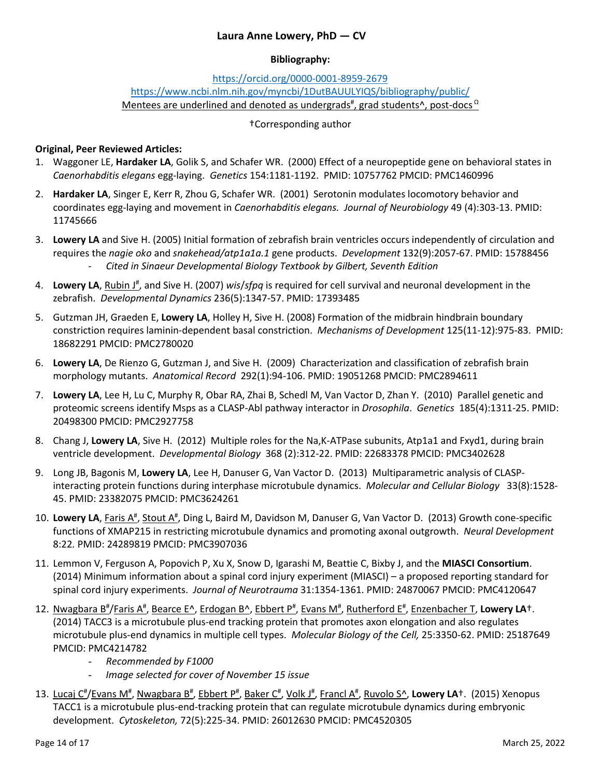### **Bibliography:**

## <https://orcid.org/0000-0001-8959-2679> <https://www.ncbi.nlm.nih.gov/myncbi/1DutBAUULYIQS/bibliography/public/> Mentees are underlined and denoted as undergrads<sup>#</sup>, grad students^, post-docs <sup>Ω</sup>

### †Corresponding author

### **Original, Peer Reviewed Articles:**

- 1. Waggoner LE, **Hardaker LA**, Golik S, and Schafer WR. (2000) Effect of a neuropeptide gene on behavioral states in *Caenorhabditis elegans* egg-laying. *Genetics* 154:1181-1192. PMID: 10757762 PMCID: PMC1460996
- 2. **Hardaker LA**, Singer E, Kerr R, Zhou G, Schafer WR. (2001) Serotonin modulates locomotory behavior and coordinates egg-laying and movement in *Caenorhabditis elegans. Journal of Neurobiology* 49 (4):303-13. PMID: 11745666
- 3. **Lowery LA** and Sive H. (2005) Initial formation of zebrafish brain ventricles occurs independently of circulation and requires the *nagie oko* and *snakehead/atp1a1a.1* gene products. *Development* 132(9):2057-67. PMID: 15788456 - *Cited in Sinaeur Developmental Biology Textbook by Gilbert, Seventh Edition*
- 4. Lowery LA, Rubin J<sup>#</sup>, and Sive H. (2007) *wis/sfpq* is required for cell survival and neuronal development in the zebrafish. *Developmental Dynamics* 236(5):1347-57. PMID: 17393485
- 5. Gutzman JH, Graeden E, **Lowery LA**, Holley H, Sive H. (2008) Formation of the midbrain hindbrain boundary constriction requires laminin-dependent basal constriction. *Mechanisms of Development* 125(11-12):975-83. PMID: 18682291 PMCID: PMC2780020
- 6. **Lowery LA**, De Rienzo G, Gutzman J, and Sive H. (2009) Characterization and classification of zebrafish brain morphology mutants. *Anatomical Record* 292(1):94-106. PMID: 19051268 PMCID: PMC2894611
- 7. **Lowery LA**, Lee H, Lu C, Murphy R, Obar RA, Zhai B, Schedl M, Van Vactor D, Zhan Y. (2010) Parallel genetic and proteomic screens identify Msps as a CLASP-Abl pathway interactor in *Drosophila*. *Genetics* 185(4):1311-25. PMID: 20498300 PMCID: PMC2927758
- 8. Chang J, **Lowery LA**, Sive H. (2012) Multiple roles for the Na,K-ATPase subunits, Atp1a1 and Fxyd1, during brain ventricle development. *Developmental Biology* 368 (2):312-22. PMID: 22683378 PMCID: PMC3402628
- 9. Long JB, Bagonis M, **Lowery LA**, Lee H, Danuser G, Van Vactor D. (2013) Multiparametric analysis of CLASPinteracting protein functions during interphase microtubule dynamics. *Molecular and Cellular Biology* 33(8):1528- 45. PMID: 23382075 PMCID: PMC3624261
- 10. Lowery LA, Faris A<sup>#</sup>, Stout A<sup>#</sup>, Ding L, Baird M, Davidson M, Danuser G, Van Vactor D. (2013) Growth cone-specific functions of XMAP215 in restricting microtubule dynamics and promoting axonal outgrowth. *Neural Development*  8:22*.* PMID: 24289819 PMCID: PMC3907036
- 11. Lemmon V, Ferguson A, Popovich P, Xu X, Snow D, Igarashi M, Beattie C, Bixby J, and the **MIASCI Consortium**. (2014) Minimum information about a spinal cord injury experiment (MIASCI) – a proposed reporting standard for spinal cord injury experiments. *Journal of Neurotrauma* 31:1354-1361. PMID: 24870067 PMCID: PMC4120647
- 12. Nwagbara B<sup>#</sup>/Faris A<sup>#</sup>, Bearce E^, Erdogan B^, Ebbert P<sup>#</sup>, Evans M<sup>#</sup>, Rutherford E<sup>#</sup>, Enzenbacher T, Lowery LA<sup>+</sup>. (2014) TACC3 is a microtubule plus-end tracking protein that promotes axon elongation and also regulates microtubule plus-end dynamics in multiple cell types. *Molecular Biology of the Cell,* 25:3350-62. PMID: 25187649 PMCID: PMC4214782
	- *Recommended by F1000*
	- *Image selected for cover of November 15 issue*
- 13. Lucaj C<sup>#</sup>/Evans M<sup>#</sup>, Nwagbara B<sup>#</sup>, Ebbert P<sup>#</sup>, Baker C<sup>#</sup>, Volk J<sup>#</sup>, Francl A<sup>#</sup>, Ruvolo S^, Lowery LA<sup>+</sup>. (2015) Xenopus TACC1 is a microtubule plus-end-tracking protein that can regulate microtubule dynamics during embryonic development. *Cytoskeleton,* 72(5):225-34. PMID: 26012630 PMCID: PMC4520305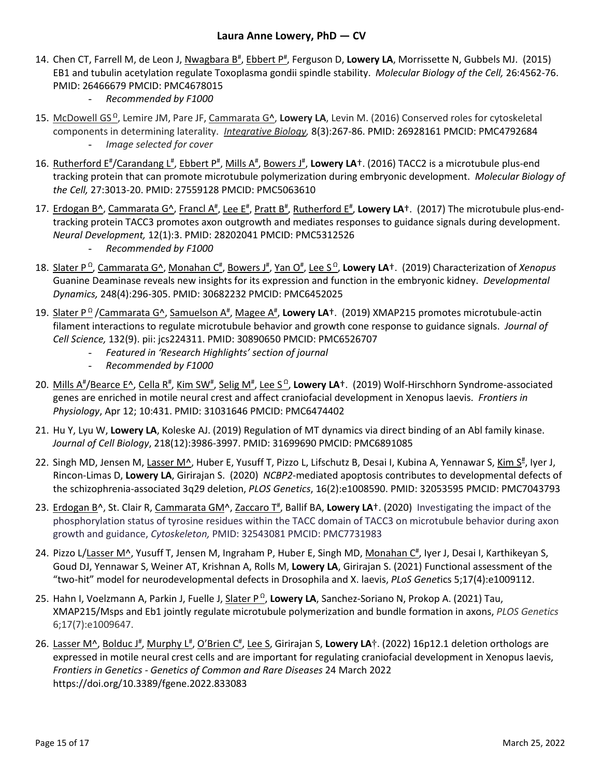- 14. Chen CT, Farrell M, de Leon J, Nwagbara B<sup>#</sup>, Ebbert P<sup>#</sup>, Ferguson D, Lowery LA, Morrissette N, Gubbels MJ. (2015) EB1 and tubulin acetylation regulate Toxoplasma gondii spindle stability. *Molecular Biology of the Cell,* 26:4562-76. PMID: 26466679 PMCID: PMC4678015
	- *Recommended by F1000*
- 15. McDowell GS <sup>Ω</sup>, Lemire JM, Pare JF, Cammarata G^, **Lowery LA**, Levin M. (2016) Conserved roles for cytoskeletal components in determining laterality. *Integrative Biology,* 8(3):267-86. PMID: 26928161 PMCID: PMC4792684 *Image selected for cover*
- 16. Rutherford E<sup>#</sup>/Carandang L<sup>#</sup>, Ebbert P<sup>#</sup>, Mills A<sup>#</sup>, Bowers J<sup>#</sup>, Lowery LA<sup>+</sup>. (2016) TACC2 is a microtubule plus-end tracking protein that can promote microtubule polymerization during embryonic development. *Molecular Biology of the Cell,* 27:3013-20. PMID: 27559128 PMCID: PMC5063610
- 17. Erdogan B<sup>^</sup>, Cammarata G^, Francl A<sup>#</sup>, Lee E<sup>#</sup>, Pratt B<sup>#</sup>, Rutherford E<sup>#</sup>, Lowery LA<sup>+</sup>. (2017) The microtubule plus-endtracking protein TACC3 promotes axon outgrowth and mediates responses to guidance signals during development. *Neural Development,* 12(1):3. PMID: 28202041 PMCID: PMC5312526
	- *Recommended by F1000*
- 18. Slater P<sup>Ω</sup>, Cammarata G^, Monahan C<sup>#</sup>, Bowers J<sup>#</sup>, Yan O<sup>#</sup>, Lee S<sup>Ω</sup>, Lowery LA<sup>+</sup>. (2019) Characterization of *Xenopus* Guanine Deaminase reveals new insights for its expression and function in the embryonic kidney. *Developmental Dynamics,* 248(4):296-305. PMID: 30682232 PMCID: PMC6452025
- 19. Slater P<sup>o</sup>/Cammarata G^, Samuelson A<sup>#</sup>, Magee A<sup>#</sup>, Lowery LA<sup>+</sup>. (2019) XMAP215 promotes microtubule-actin filament interactions to regulate microtubule behavior and growth cone response to guidance signals. *Journal of Cell Science,* 132(9). pii: jcs224311. PMID: 30890650 PMCID: PMC6526707
	- *Featured in 'Research Highlights' section of journal*
	- *Recommended by F1000*
- 20. Mills A<sup>#</sup>/Bearce E^, Cella R<sup>#</sup>, Kim SW<sup>#</sup>, Selig M<sup>#</sup>, Lee S<sup>Ω</sup>, Lowery LA<sup>+</sup>. (2019) Wolf-Hirschhorn Syndrome-associated genes are enriched in motile neural crest and affect craniofacial development in Xenopus laevis. *Frontiers in Physiology*, Apr 12; 10:431. PMID: 31031646 PMCID: PMC6474402
- 21. Hu Y, Lyu W, **Lowery LA**, Koleske AJ. (2019) Regulation of MT dynamics via direct binding of an Abl family kinase. *Journal of Cell Biology*, 218(12):3986-3997. PMID: 31699690 PMCID: PMC6891085
- 22. Singh MD, Jensen M, Lasser M^, Huber E, Yusuff T, Pizzo L, Lifschutz B, Desai I, Kubina A, Yennawar S, Kim S<sup>#</sup>, Iyer J, Rincon-Limas D, **Lowery LA**, Girirajan S. (2020) *NCBP2*-mediated apoptosis contributes to [developmental](https://www.biorxiv.org/content/10.1101/614750v1) defects of the [schizophrenia-associated](https://www.biorxiv.org/content/10.1101/614750v1) 3q29 deletion, *PLOS Genetics*, 16(2):e1008590. PMID: 32053595 PMCID: PMC7043793
- 23. Erdogan B<sup>^</sup>, St. Clair R, Cammarata GM^, Zaccaro T<sup>#</sup>, Ballif BA, Lowery LA<sup>+</sup>. (2020) Investigating the impact of the phosphorylation status of tyrosine residues within the TACC domain of TACC3 on microtubule behavior during axon growth and guidance, *Cytoskeleton,* PMID: 32543081 PMCID: PMC7731983
- 24. Pizzo L/Lasser M^, Yusuff T, Jensen M, Ingraham P, Huber E, Singh MD, Monahan C<sup>#</sup>, Iyer J, Desai I, Karthikeyan S, Goud DJ, Yennawar S, Weiner AT, Krishnan A, Rolls M, **Lowery LA**, Girirajan S. (2021) Functional assessment of the "two-hit" model for neurodevelopmental defects in Drosophila and X. laevis, *PLoS Genet*ics 5;17(4):e1009112.
- 25. Hahn I, Voelzmann A, Parkin J, Fuelle J, Slater P<sup>Ω</sup>, Lowery LA, Sanchez-Soriano N, Prokop A. (2021) Tau, XMAP215/Msps and Eb1 jointly regulate microtubule polymerization and bundle formation in axons, *PLOS Genetics* 6;17(7):e1009647.
- 26. Lasser M^, Bolduc J<sup>#</sup>, Murphy L<sup>#</sup>, O'Brien C<sup>#</sup>, Lee S, Girirajan S, Lowery LA†. (2022) 16p12.1 deletion orthologs are expressed in motile neural crest cells and are important for regulating craniofacial development in Xenopus laevis, *Frontiers in Genetics - Genetics of Common and Rare Diseases* 24 March 2022 https://doi.org/10.3389/fgene.2022.833083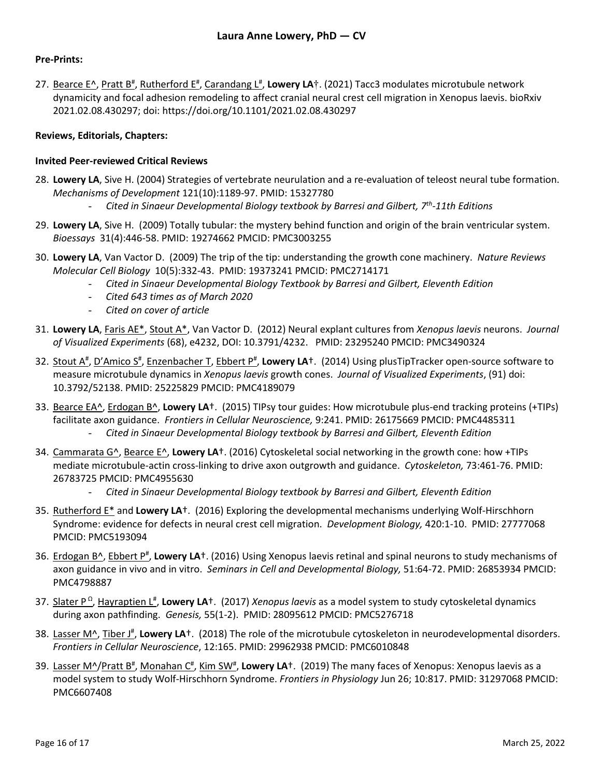### **Pre-Prints:**

27. Bearce E<sup>x</sup>, Pratt B<sup>#</sup>, Rutherford E<sup>#</sup>, Carandang L<sup>#</sup>, Lowery LA†. (2021) Tacc3 modulates microtubule network dynamicity and focal adhesion remodeling to affect cranial neural crest cell migration in Xenopus laevis. bioRxiv 2021.02.08.430297; doi: https://doi.org/10.1101/2021.02.08.430297

### **Reviews, Editorials, Chapters:**

#### **Invited Peer-reviewed Critical Reviews**

- 28. **Lowery LA**, Sive H. (2004) Strategies of vertebrate neurulation and a re-evaluation of teleost neural tube formation. *Mechanisms of Development* 121(10):1189-97. PMID: 15327780
	- *Cited in Sinaeur Developmental Biology textbook by Barresi and Gilbert, 7th-11th Editions*
- 29. **Lowery LA**, Sive H. (2009) Totally tubular: the mystery behind function and origin of the brain ventricular system. *Bioessays* 31(4):446-58. PMID: 19274662 PMCID: PMC3003255
- 30. **Lowery LA**, Van Vactor D. (2009) The trip of the tip: understanding the growth cone machinery. *Nature Reviews Molecular Cell Biology* 10(5):332-43. PMID: 19373241 PMCID: PMC2714171
	- *Cited in Sinaeur Developmental Biology Textbook by Barresi and Gilbert, Eleventh Edition*
	- *Cited 643 times as of March 2020*
	- *Cited on cover of article*
- 31. **Lowery LA**, Faris AE\*, Stout A\*, Van Vactor D. (2012) Neural explant cultures from *Xenopus laevis* neurons. *Journal of Visualized Experiments* (68), e4232, DOI: 10.3791/4232. PMID: 23295240 PMCID: PMC3490324
- 32. Stout A<sup>#</sup>, D'Amico S<sup>#</sup>, Enzenbacher T, Ebbert P<sup>#</sup>, Lowery LA<sup>+</sup>. (2014) Using plusTipTracker open-source software to measure microtubule dynamics in *Xenopus laevis* growth cones. *Journal of Visualized Experiments*, (91) doi: 10.3792/52138. PMID: 25225829 PMCID: PMC4189079
- 33. Bearce EA^, Erdogan B^, **Lowery LA**†. (2015) TIPsy tour guides: How microtubule plus-end tracking proteins (+TIPs) facilitate axon guidance. *Frontiers in Cellular Neuroscience,* 9:241. PMID: 26175669 PMCID: PMC4485311 - *Cited in Sinaeur Developmental Biology textbook by Barresi and Gilbert, Eleventh Edition*
- 34. Cammarata G^, Bearce E^, **Lowery LA**†. (2016) Cytoskeletal social networking in the growth cone: how +TIPs mediate microtubule-actin cross-linking to drive axon outgrowth and guidance. *Cytoskeleton,* 73:461-76. PMID: 26783725 PMCID: PMC4955630
	- *Cited in Sinaeur Developmental Biology textbook by Barresi and Gilbert, Eleventh Edition*
- 35. Rutherford E\* and **Lowery LA**†. (2016) Exploring the developmental mechanisms underlying Wolf-Hirschhorn Syndrome: evidence for defects in neural crest cell migration. *Development Biology,* 420:1-10. PMID: 27777068 PMCID: PMC5193094
- 36. Erdogan B^, Ebbert P<sup>#</sup>, Lowery LA<sup>†</sup>. (2016) Using Xenopus laevis retinal and spinal neurons to study mechanisms of axon guidance in vivo and in vitro. *Seminars in Cell and Developmental Biology,* 51:64-72. PMID: 26853934 PMCID: PMC4798887
- 37. Slater P<sup>Ω</sup>, Hayraptien L<sup>#</sup>, Lowery LA<sup>†</sup>. (2017) *Xenopus laevis* as a model system to study cytoskeletal dynamics during axon pathfinding. *Genesis,* 55(1-2). PMID: 28095612 PMCID: PMC5276718
- 38. Lasser M^, Tiber J<sup>#</sup>, Lowery LA<sup>+</sup>. (2018) The role of the microtubule cytoskeleton in neurodevelopmental disorders. *Frontiers in Cellular Neuroscience*, 12:165. PMID: 29962938 PMCID: PMC6010848
- 39. Lasser M^/Pratt B<sup>#</sup>, Monahan C<sup>#</sup>, Kim SW<sup>#</sup>, Lowery LA<sup>+</sup>. (2019) The many faces of Xenopus: Xenopus laevis as a model system to study Wolf-Hirschhorn Syndrome. *Frontiers in Physiology* Jun 26; 10:817. PMID: 31297068 PMCID: PMC6607408